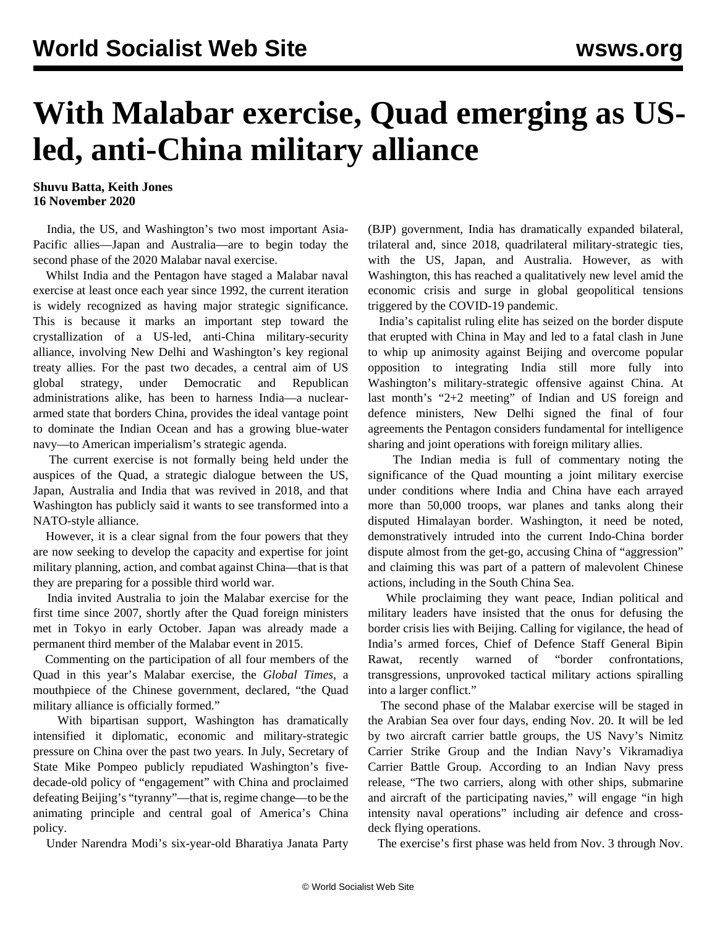## **With Malabar exercise, Quad emerging as USled, anti-China military alliance**

## **Shuvu Batta, Keith Jones 16 November 2020**

 India, the US, and Washington's two most important Asia-Pacific allies—Japan and Australia—are to begin today the second phase of the 2020 Malabar naval exercise.

 Whilst India and the Pentagon have staged a Malabar naval exercise at least once each year since 1992, the current iteration is widely recognized as having major strategic significance. This is because it marks an important step toward the crystallization of a US-led, anti-China military-security alliance, involving New Delhi and Washington's key regional treaty allies. For the past two decades, a central aim of US global strategy, under Democratic and Republican administrations alike, has been to harness India—a nucleararmed state that borders China, provides the ideal vantage point to dominate the Indian Ocean and has a growing blue-water navy—to American imperialism's strategic agenda.

 The current exercise is not formally being held under the auspices of the Quad, a strategic dialogue between the US, Japan, Australia and India that was revived in 2018, and that Washington has publicly said it wants to see transformed into a NATO-style alliance.

 However, it is a clear signal from the four powers that they are now seeking to develop the capacity and expertise for joint military planning, action, and combat against China—that is that they are preparing for a possible third world war.

 India invited Australia to join the Malabar exercise for the first time since 2007, shortly after the Quad foreign ministers met in Tokyo in early October. Japan was already made a permanent third member of the Malabar event in 2015.

 Commenting on the participation of all four members of the Quad in this year's Malabar exercise, the *Global Times*, a mouthpiece of the Chinese government, declared, "the Quad military alliance is officially formed."

 With bipartisan support, Washington has dramatically intensified it diplomatic, economic and military-strategic pressure on China over the past two years. In July, Secretary of State Mike Pompeo publicly repudiated Washington's fivedecade-old policy of "engagement" with China and proclaimed defeating Beijing's "tyranny"—that is, regime change—to be the animating principle and central goal of America's China policy.

Under Narendra Modi's six-year-old Bharatiya Janata Party

(BJP) government, India has dramatically expanded bilateral, trilateral and, since 2018, quadrilateral military-strategic ties, with the US, Japan, and Australia. However, as with Washington, this has reached a qualitatively new level amid the economic crisis and surge in global geopolitical tensions triggered by the COVID-19 pandemic.

 India's capitalist ruling elite has seized on the border dispute that erupted with China in May and led to a fatal clash in June to whip up animosity against Beijing and overcome popular opposition to integrating India still more fully into Washington's military-strategic offensive against China. At last month's "2+2 meeting" of Indian and US foreign and defence ministers, New Delhi signed the final of four agreements the Pentagon considers fundamental for intelligence sharing and joint operations with foreign military allies.

 The Indian media is full of commentary noting the significance of the Quad mounting a joint military exercise under conditions where India and China have each arrayed more than 50,000 troops, war planes and tanks along their disputed Himalayan border. Washington, it need be noted, demonstratively intruded into the current Indo-China border dispute almost from the get-go, accusing China of "aggression" and claiming this was part of a pattern of malevolent Chinese actions, including in the South China Sea.

 While proclaiming they want peace, Indian political and military leaders have insisted that the onus for defusing the border crisis lies with Beijing. Calling for vigilance, the head of India's armed forces, Chief of Defence Staff General Bipin Rawat, recently warned of "border confrontations, transgressions, unprovoked tactical military actions spiralling into a larger conflict."

 The second phase of the Malabar exercise will be staged in the Arabian Sea over four days, ending Nov. 20. It will be led by two aircraft carrier battle groups, the US Navy's Nimitz Carrier Strike Group and the Indian Navy's Vikramadiya Carrier Battle Group. According to an Indian Navy press release, "The two carriers, along with other ships, submarine and aircraft of the participating navies," will engage "in high intensity naval operations" including air defence and crossdeck flying operations.

The exercise's first phase was held from Nov. 3 through Nov.